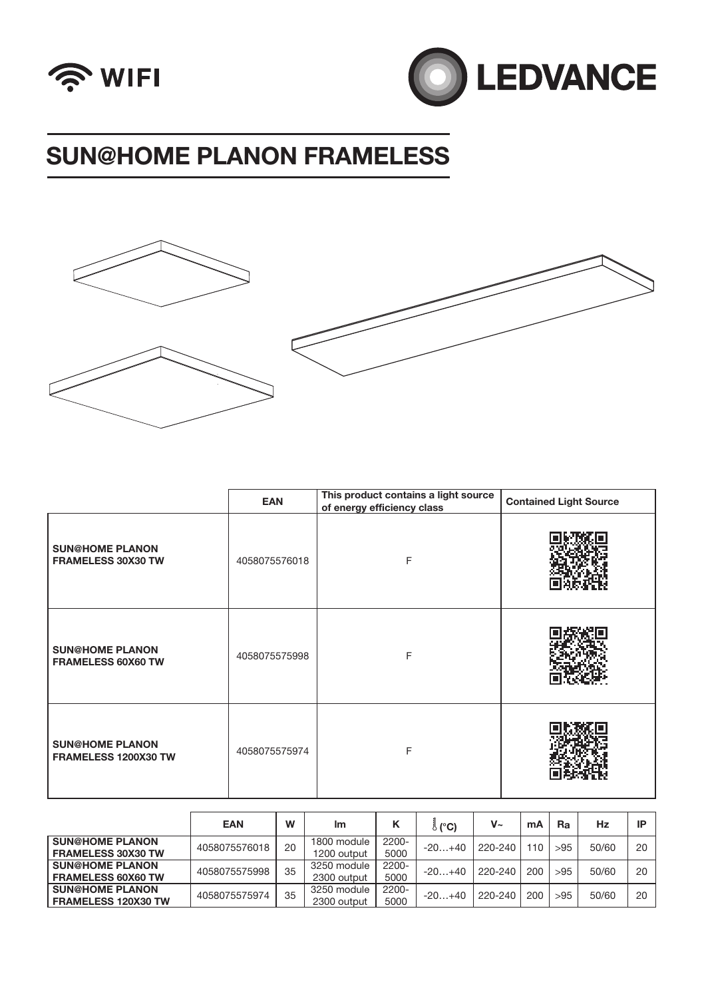







|                                                | EAN           | This product contains a light source<br>of energy efficiency class | <b>Contained Light Source</b> |  |  |
|------------------------------------------------|---------------|--------------------------------------------------------------------|-------------------------------|--|--|
| <b>SUN@HOME PLANON</b><br>FRAMELESS 30X30 TW   | 4058075576018 | F                                                                  |                               |  |  |
| <b>SUN@HOME PLANON</b><br>FRAMELESS 60X60 TW   | 4058075575998 | F                                                                  |                               |  |  |
| <b>SUN@HOME PLANON</b><br>FRAMELESS 1200X30 TW | 4058075575974 | F                                                                  |                               |  |  |

|                            | <b>EAN</b>    | W  | Im          | к        | ් (°C)   | $V_{\sim}$ | mA  | Ra  | Hz    | IP |
|----------------------------|---------------|----|-------------|----------|----------|------------|-----|-----|-------|----|
| <b>SUN@HOME PLANON</b>     | 4058075576018 | 20 | 1800 module | 2200-    | $-20+40$ | 220-240    | 110 | >95 | 50/60 | 20 |
| <b>FRAMELESS 30X30 TW</b>  |               |    | 1200 output | 5000     |          |            |     |     |       |    |
| <b>SUN@HOME PLANON</b>     | 4058075575998 | 35 | 3250 module | 2200-    | $-20+40$ | 220-240    | 200 | >95 | 50/60 | 20 |
| <b>FRAMELESS 60X60 TW</b>  |               |    | 2300 output | 5000     |          |            |     |     |       |    |
| <b>SUN@HOME PLANON</b>     | 4058075575974 | 35 | 3250 module | $2200 -$ | $-20+40$ | 220-240    | 200 | >95 | 50/60 | 20 |
| <b>FRAMELESS 120X30 TW</b> |               |    | 2300 output | 5000     |          |            |     |     |       |    |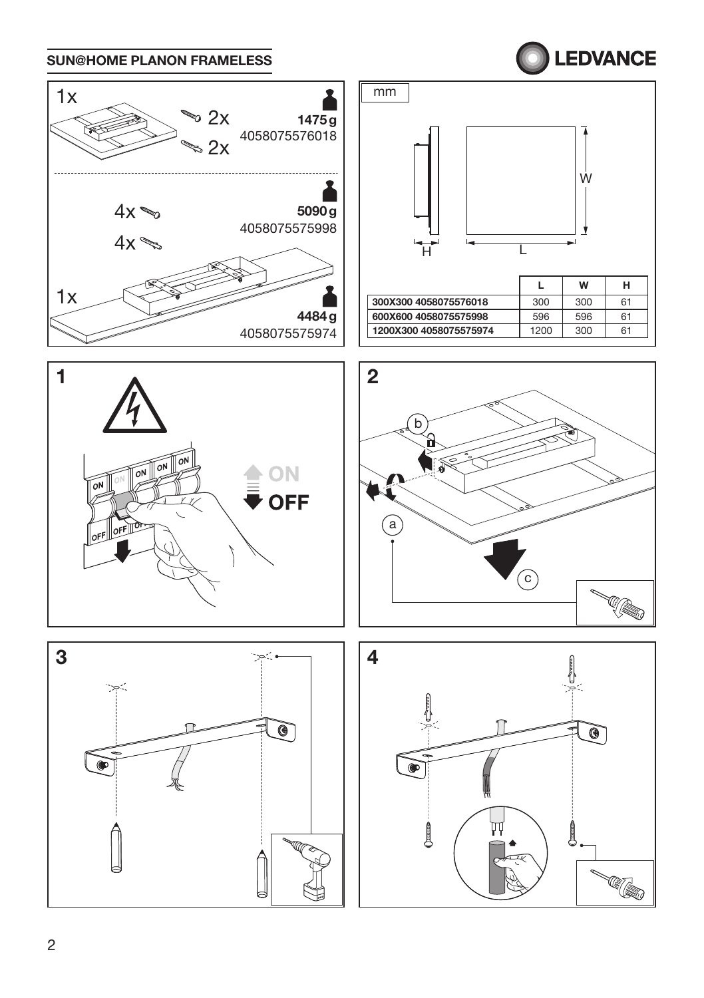

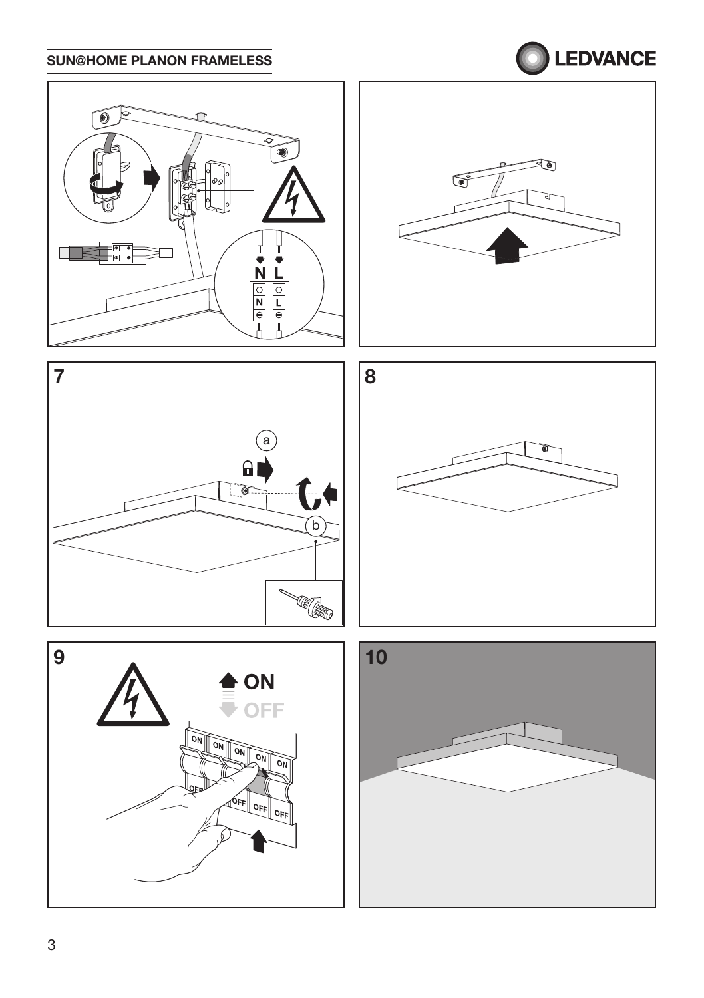## LEDVANCE











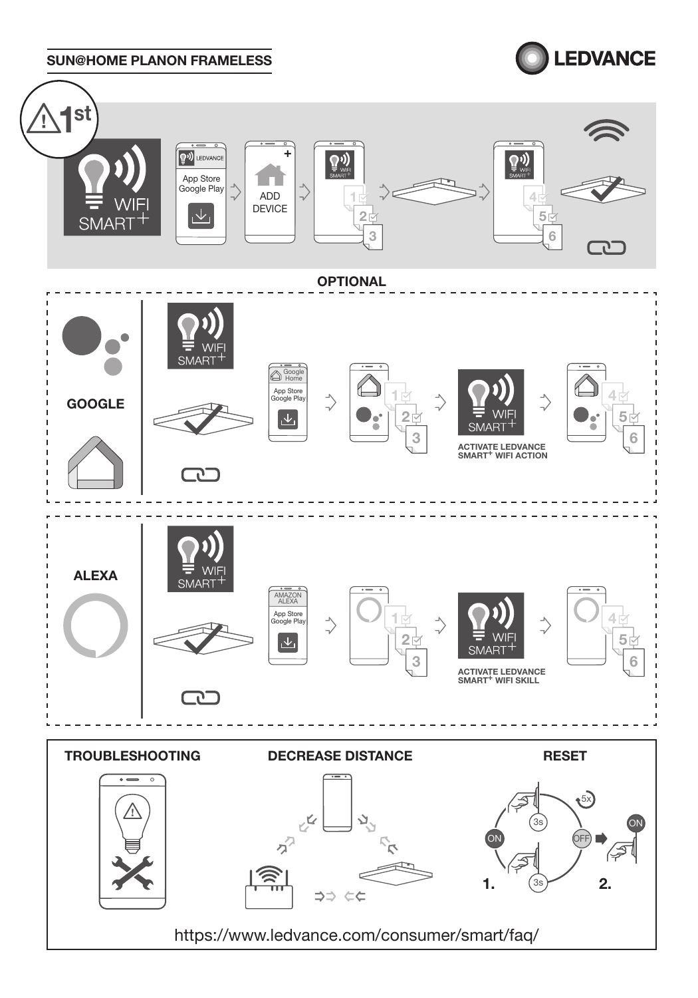

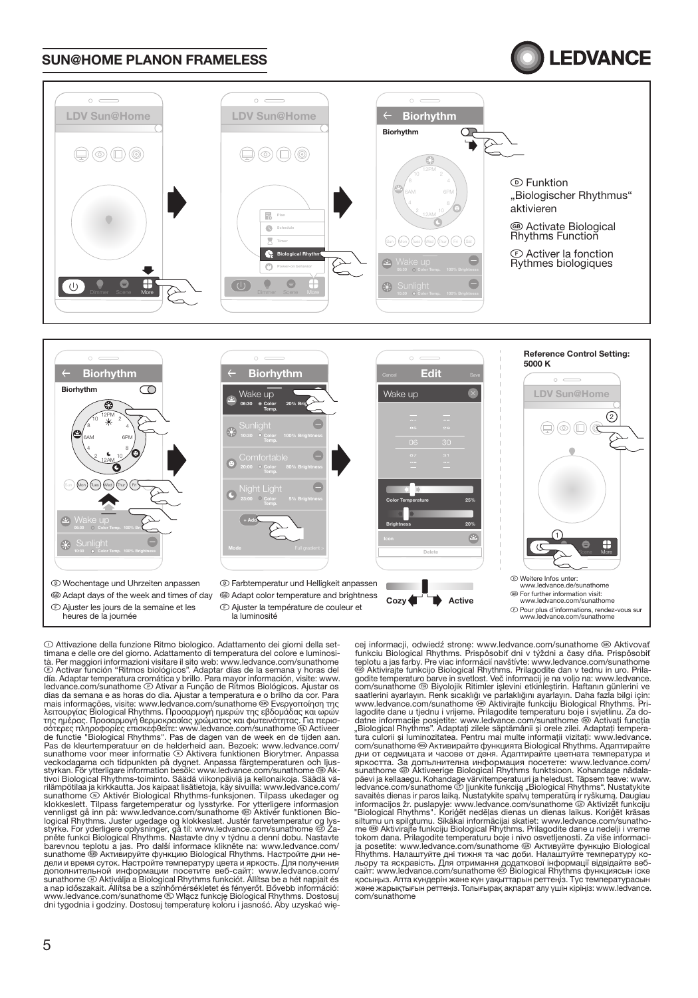### **LEDVANCE**



 Wochentage und Uhrzeiten anpassen GB Adapt days of the week and times of day F Ajuster les jours de la semaine et les heures de la journée

 Farbtemperatur und Helligkeit anpassen GB Adapt color temperature and brightness **E Ajuster la température de couleur et**<br>la luminosité Ajuster la terriperature de couleur et entre la mateur de la complexe de Pour plus d'informations, rendez-vous sur<br>la luminosité www.ledvance.com/sunathome

Cozy<sup>4</sup>

Active

⊙ Attivazione della funzione Ritmo biologico. Adattamento dei giorni della set-<br>timana e delle ore del giorno. Adattamento di temperatura del colore e luminosi-Activar función "Ritmos biológicos". Adaptar días de la semana y horas del Calcius de la semana y horas del Calcius de la semana y horas del c día. Adaptar temperatura cromática y brillo. Para mayor información, visite: www. ledvance.com/sunathome Ativar a Função de Ritmos Biológicos. Ajustar os dias da semana e as horas do dia. Ajustar a temperatura e o brilho da cor. Para mais informações, visite: www.ledvance.com/sunathome Ενεργοποίηση της λειτουργίας Biological Rhythms. Προσαρμογή ημερών της εβδομάδας και ωρών<br>της ημέρας. Προσαρμογή θερμοκρασίας χρώματος και φωτεινότητας. Για περισ-<br>σότερες πληροφορίες επισκεφθείτε: www.ledvance.com/sunathome ® Activeer de functie "Biological Rhythms". Pas de dagen van de week en de tijden aan. Pas de kleurtemperatuur en de helderheid aan. Bezoek: www.ledvance.com/ sunathome voor meer informatie ⑤ Aktivera funktionen Biorytmer. Anpassa<br>veckodagarna och tidpunkten på dygnet. Anpassa färgtemperaturen och ljusstyrkan. För ytterligare information besök: www.ledvance.com/sunathome Ak-tivoi Biological Rhythms-toiminto. Säädä viikonpäiviä ja kellonaikoja. Säädä vä rilämpötilaa ja kirkkautta. Jos kaipaat lisätietoja, käy sivuilla: www.ledvance.com/<br>sunathome © Aktivér Biological Rhythms-funksjonen. Tilpass ukedager og<br>klokkeslett. Tilpass fargetemperatur og lysstyrke. For ytterligere logicaľ Rhythms. Juster ugedage og klokkeslæt. Justér farvetemperatur og lys-<br>styrke. For yderligere oplysninger, gå til: www.ledvance.com/sunathome ම2 Za-<br>pněte funkci Biological Rhythms. Nastavte dny v týdnu a denní dob barevnou teplotu a jas. Pro další informace klikněte na: www.ledvance.com/ sunathome Активируйте функцию Biological Rhythms. Настройте дни недели и время суток. Настройте температуру цвета и яркость. Для получения<br>дополнительной информации посетите веб-сайт; www.ledvance.com/<br>sunathome @ Aktiválja a Biological Rhythms funkciót. Allítsa be a hét napjait és<br>a na www.ledvance.com/sunathome Włącz funkcję Biological Rhythms. Dostosuj dni tygodnia i godziny. Dostosuj temperaturę koloru i jasność. Aby uzyskać wię-

cej informacji, odwiedź stronę: www.ledvance.com/sunathome ® Aktivovať<br>funkciu Biological Rhythms. Prispôsobiť dni v týždni a časy dňa. Prispôsobiť<br>teplotu a jas farby. Pre viac informácií navštívte: www.ledvance.com/sunat com/sunathome Biyolojik Ritimler işlevini etkinleştirin. Haftanın günlerini ve saatlerini ayarlayın. Renk sıcaklığı ve parlaklığını ayarlayın. Daha fazla bilgi için: www.ledvance.com/sunathome ⑯ Aktivirajte funkciju Biological Rhythms. Pri-<br>lagodite dane u tjednu i vrijeme. Prilagodite temperaturu boje i svjetlinu. Za do-<br>datne informacije posjetite: www.ledvance.com/sunathome ☺ Activ tura culorii și luminozitatea. Pentru mai multe informații vizitați: www.ledvance.<br>com/sunathome ® Активирайте функцията Biological Rhythms. Адаптирайте<br>дни от седмицата и часове от деня. Адаптирайте цветната температура sunathome ® Aktiveerige Biological Rhythms funktsioon. Kohandage nädala-<br>päevi ja kellaaegu. Kohandage värvitemperatuuri ja heledust. Täpsem teave: www.<br>ledvance.com/sunathome ® ljunkite funkcija "Biological Rhythms". Nus savaitės dienas ir paros laiką. Nustatykite spalivų temperatūrą ir ryškumą. Daugiau<br>informacijos žr. puslapyje: www.ledvance.com/sunathome @ Aktivizēt funkciju<br>"Biological Rhythms". Koriģēt nedēļas dienas un dienas laikus. tokom dana. Prilagodite temperaturu boje i nivo osvetljenosti. Za više informaciја posetite: www.Īedvance.com/sunathome Активуйте функцію Biological<br>Rhythms. Налаштуйте дні тижня та час доби. Налаштуйте температуру кольору та яскравість. Для отримання додаткової інформації відвідайте веб-<br>сайт: www.ledvance.com/sunathome © Biological Rhythms функциясын іске<br>қосыңыз. Апта күндерін және күн уақыттарын реттеңіз. Түс температурасын<br>және ж com/sunathome

www.ledvance.de/sunathome

GB For further information visit: www.ledvance.com/sunathome